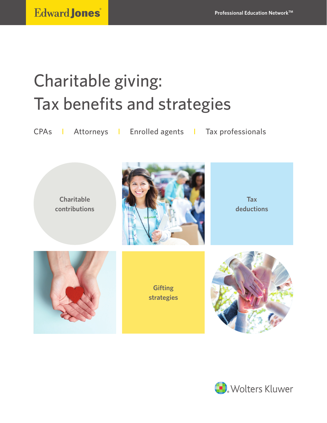# Charitable giving: Tax benefits and strategies

CPAs I Attorneys I Enrolled agents I Tax professionals

**Charitable contributions**



**Tax deductions**

**Gifting strategies**



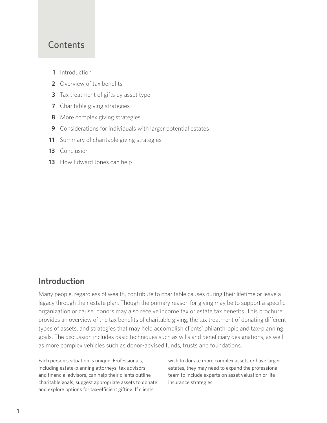# **Contents**

- **1** Introduction
- **2** Overview of tax benefits
- **3** Tax treatment of gifts by asset type
- **7** Charitable giving strategies
- **8** More complex giving strategies
- **9** Considerations for individuals with larger potential estates
- **11** Summary of charitable giving strategies
- **13** Conclusion
- 13 How Edward Jones can help

# **Introduction**

Many people, regardless of wealth, contribute to charitable causes during their lifetime or leave a legacy through their estate plan. Though the primary reason for giving may be to support a specific organization or cause, donors may also receive income tax or estate tax benefits. This brochure provides an overview of the tax benefits of charitable giving, the tax treatment of donating different types of assets, and strategies that may help accomplish clients' philanthropic and tax-planning goals. The discussion includes basic techniques such as wills and beneficiary designations, as well as more complex vehicles such as donor-advised funds, trusts and foundations.

Each person's situation is unique. Professionals, including estate-planning attorneys, tax advisors and financial advisors, can help their clients outline charitable goals, suggest appropriate assets to donate and explore options for tax-efficient gifting. If clients

wish to donate more complex assets or have larger estates, they may need to expand the professional team to include experts on asset valuation or life insurance strategies.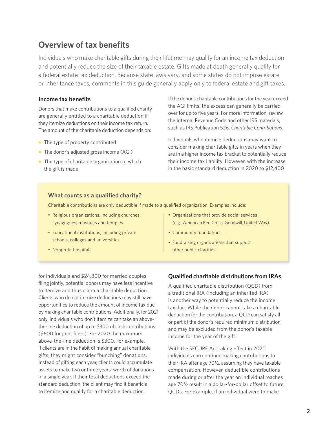# **Overview of tax benefits**

Individuals who make charitable gifts during their lifetime may qualify for an income tax deduction and potentially reduce the size of their taxable estate. Gifts made at death generally qualify for a federal estate tax deduction. Because state laws vary, and some states do not impose estate or inheritance taxes, comments in this guide generally apply only to federal estate and gift taxes.

## **Income tax benefits**

Donors that make contributions to a qualified charity are generally entitled to a charitable deduction if they itemize deductions on their income tax return. The amount of the charitable deduction depends on:

- The type of property contributed
- The donor's adjusted gross income (AGI)
- The type of charitable organization to which the gift is made

If the donor's charitable contributions for the year exceed the AGI limits, the excess can generally be carried over for up to five years. For more information, review the Internal Revenue Code and other IRS materials, such as IRS Publication 526, *Charitable Contributions.*

Individuals who itemize deductions may want to consider making charitable gifts in years when they are in a higher income tax bracket to potentially reduce their income tax liability. However, with the increase in the basic standard deduction in 2020 to \$12,400

#### **What counts as a qualified charity?**

Charitable contributions are only deductible if made to a qualified organization. Examples include:

- Religious organizations, including churches, synagogues, mosques and temples
- Educational institutions, including private schools, colleges and universities
- Nonprofit hospitals
- Organizations that provide social services (e.g., American Red Cross, Goodwill, United Way)
- Community foundations
- Fundraising organizations that support other public charities

for individuals and \$24,800 for married couples filing jointly, potential donors may have less incentive to itemize and thus claim a charitable deduction. Clients who do not itemize deductions may still have opportunities to reduce the amount of income tax due by making charitable contributions. Additionally, for 2021 only, individuals who don't itemize can take an abovethe-line deduction of up to \$300 of cash contributions (\$600 for joint filers). For 2020 the maximum above-the-line deduction is \$300. For example, if clients are in the habit of making annual charitable gifts, they might consider "bunching" donations. Instead of gifting each year, clients could accumulate assets to make two or three years' worth of donations in a single year. If their total deductions exceed the standard deduction, the client may find it beneficial to itemize and qualify for a charitable deduction.

## **Qualified charitable distributions from IRAs**

A qualified charitable distribution (QCD) from a traditional IRA (including an inherited IRA) is another way to potentially reduce the income tax due. While the donor cannot take a charitable deduction for the contribution, a QCD can satisfy all or part of the donor's required minimum distribution and may be excluded from the donor's taxable income for the year of the gift.

With the SECURE Act taking effect in 2020, individuals can continue making contributions to their IRA after age 70½, assuming they have taxable compensation. However, deductible contributions made during or after the year an individual reaches age 70½ result in a dollar-for-dollar offset to future QCDs. For example, if an individual were to make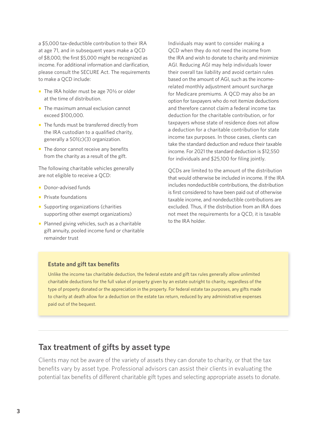a \$5,000 tax-deductible contribution to their IRA at age 71, and in subsequent years make a QCD of \$8,000, the first \$5,000 might be recognized as income. For additional information and clarification, please consult the SECURE Act. The requirements to make a QCD include:

- **•** The IRA holder must be age 70<sup>1</sup>/<sub>2</sub> or older at the time of distribution.
- The maximum annual exclusion cannot exceed \$100,000.
- The funds must be transferred directly from the IRA custodian to a qualified charity, generally a 501(c)(3) organization.
- The donor cannot receive any benefits from the charity as a result of the gift.

The following charitable vehicles generally are not eligible to receive a QCD:

- Donor-advised funds
- Private foundations
- Supporting organizations (charities supporting other exempt organizations)
- Planned giving vehicles, such as a charitable gift annuity, pooled income fund or charitable remainder trust

Individuals may want to consider making a QCD when they do not need the income from the IRA and wish to donate to charity and minimize AGI. Reducing AGI may help individuals lower their overall tax liability and avoid certain rules based on the amount of AGI, such as the incomerelated monthly adjustment amount surcharge for Medicare premiums. A QCD may also be an option for taxpayers who do not itemize deductions and therefore cannot claim a federal income tax deduction for the charitable contribution, or for taxpayers whose state of residence does not allow a deduction for a charitable contribution for state income tax purposes. In those cases, clients can take the standard deduction and reduce their taxable income. For 2021 the standard deduction is \$12,550 for individuals and \$25,100 for filing jointly.

QCDs are limited to the amount of the distribution that would otherwise be included in income. If the IRA includes nondeductible contributions, the distribution is first considered to have been paid out of otherwise taxable income, and nondeductible contributions are excluded. Thus, if the distribution from an IRA does not meet the requirements for a QCD, it is taxable to the IRA holder.

## **Estate and gift tax benefits**

Unlike the income tax charitable deduction, the federal estate and gift tax rules generally allow unlimited charitable deductions for the full value of property given by an estate outright to charity, regardless of the type of property donated or the appreciation in the property. For federal estate tax purposes, any gifts made to charity at death allow for a deduction on the estate tax return, reduced by any administrative expenses paid out of the bequest.

# **Tax treatment of gifts by asset type**

Clients may not be aware of the variety of assets they can donate to charity, or that the tax benefits vary by asset type. Professional advisors can assist their clients in evaluating the potential tax benefits of different charitable gift types and selecting appropriate assets to donate.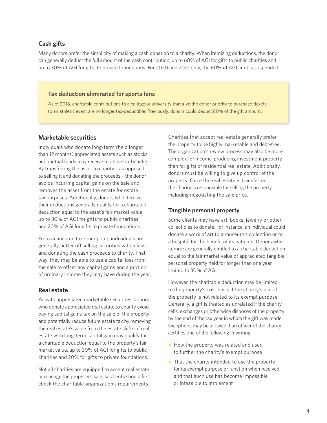## **Cash gifts**

Many donors prefer the simplicity of making a cash donation to a charity. When itemizing deductions, the donor can generally deduct the full amount of the cash contribution, up to 60% of AGI for gifts to public charities and up to 30% of AGI for gifts to private foundations. For 2020 and 2021 only, the 60% of AGI limit is suspended.

#### **Tax deduction eliminated for sports fans**

As of 2018, charitable contributions to a college or university that give the donor priority to purchase tickets to an athletic event are no longer tax-deductible. Previously, donors could deduct 80% of the gift amount.

#### **Marketable securities**

Individuals who donate long-term (held longer than 12 months) appreciated assets such as stocks and mutual funds may receive multiple tax benefits. By transferring the asset to charity – as opposed to selling it and donating the proceeds – the donor avoids incurring capital gains on the sale and removes the asset from the estate for estate tax purposes. Additionally, donors who itemize their deductions generally qualify for a charitable deduction equal to the asset's fair market value, up to 30% of AGI for gifts to public charities and 20% of AGI for gifts to private foundations.

From an income tax standpoint, individuals are generally better off selling securities with a loss and donating the cash proceeds to charity. That way, they may be able to use a capital loss from the sale to offset any capital gains and a portion of ordinary income they may have during the year.

#### **Real estate**

As with appreciated marketable securities, donors who donate appreciated real estate to charity avoid paying capital gains tax on the sale of the property and potentially reduce future estate tax by removing the real estate's value from the estate. Gifts of real estate with long-term capital gain may qualify for a charitable deduction equal to the property's fair market value, up to 30% of AGI for gifts to public charities and 20% for gifts to private foundations.

Not all charities are equipped to accept real estate or manage the property's sale, so clients should first check the charitable organization's requirements.

Charities that accept real estate generally prefer the property to be highly marketable and debt-free. The organization's review process may also be more complex for income-producing investment property than for gifts of residential real estate. Additionally, donors must be willing to give up control of the property. Once the real estate is transferred, the charity is responsible for selling the property, including negotiating the sale price.

#### **Tangible personal property**

Some clients may have art, books, jewelry or other collectibles to donate. For instance, an individual could donate a work of art to a museum's collection or to a hospital for the benefit of its patients. Donors who itemize are generally entitled to a charitable deduction equal to the fair market value of appreciated tangible personal property held for longer than one year, limited to 30% of AGI.

However, the charitable deduction may be limited to the property's cost basis if the charity's use of the property is not related to its exempt purpose. Generally, a gift is treated as unrelated if the charity sells, exchanges or otherwise disposes of the property by the end of the tax year in which the gift was made. Exceptions may be allowed if an officer of the charity certifies one of the following in writing:

- How the property was related and used to further the charity's exempt purpose
- That the charity intended to use the property for its exempt purpose or function when received and that such use has become impossible or infeasible to implement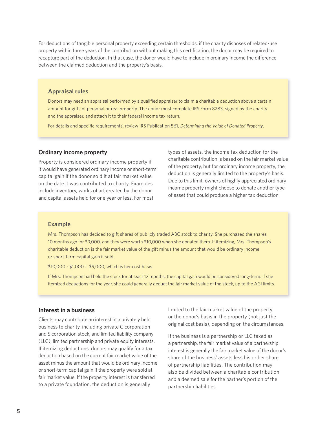For deductions of tangible personal property exceeding certain thresholds, if the charity disposes of related-use property within three years of the contribution without making this certification, the donor may be required to recapture part of the deduction. In that case, the donor would have to include in ordinary income the difference between the claimed deduction and the property's basis.

#### **Appraisal rules**

Donors may need an appraisal performed by a qualified appraiser to claim a charitable deduction above a certain amount for gifts of personal or real property. The donor must complete IRS Form 8283, signed by the charity and the appraiser, and attach it to their federal income tax return.

For details and specific requirements, review IRS Publication 561, *Determining the Value of Donated Property*.

#### **Ordinary income property**

Property is considered ordinary income property if it would have generated ordinary income or short-term capital gain if the donor sold it at fair market value on the date it was contributed to charity. Examples include inventory, works of art created by the donor, and capital assets held for one year or less. For most

types of assets, the income tax deduction for the charitable contribution is based on the fair market value of the property, but for ordinary income property, the deduction is generally limited to the property's basis. Due to this limit, owners of highly appreciated ordinary income property might choose to donate another type of asset that could produce a higher tax deduction.

#### **Example**

Mrs. Thompson has decided to gift shares of publicly traded ABC stock to charity. She purchased the shares 10 months ago for \$9,000, and they were worth \$10,000 when she donated them. If itemizing, Mrs. Thompson's charitable deduction is the fair market value of the gift minus the amount that would be ordinary income or short-term capital gain if sold:

 $$10,000 - $1,000 = $9,000$ , which is her cost basis.

If Mrs. Thompson had held the stock for at least 12 months, the capital gain would be considered long-term. If she itemized deductions for the year, she could generally deduct the fair market value of the stock, up to the AGI limits.

#### **Interest in a business**

Clients may contribute an interest in a privately held business to charity, including private C corporation and S corporation stock, and limited liability company (LLC), limited partnership and private equity interests. If itemizing deductions, donors may qualify for a tax deduction based on the current fair market value of the asset minus the amount that would be ordinary income or short-term capital gain if the property were sold at fair market value. If the property interest is transferred to a private foundation, the deduction is generally

limited to the fair market value of the property or the donor's basis in the property (not just the original cost basis), depending on the circumstances.

If the business is a partnership or LLC taxed as a partnership, the fair market value of a partnership interest is generally the fair market value of the donor's share of the business' assets less his or her share of partnership liabilities. The contribution may also be divided between a charitable contribution and a deemed sale for the partner's portion of the partnership liabilities.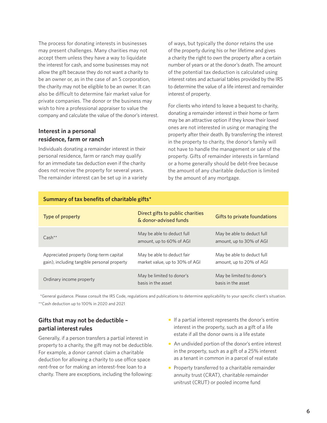The process for donating interests in businesses may present challenges. Many charities may not accept them unless they have a way to liquidate the interest for cash, and some businesses may not allow the gift because they do not want a charity to be an owner or, as in the case of an S corporation, the charity may not be eligible to be an owner. It can also be difficult to determine fair market value for private companies. The donor or the business may wish to hire a professional appraiser to value the company and calculate the value of the donor's interest.

# **Interest in a personal residence, farm or ranch**

Individuals donating a remainder interest in their personal residence, farm or ranch may qualify for an immediate tax deduction even if the charity does not receive the property for several years. The remainder interest can be set up in a variety of ways, but typically the donor retains the use of the property during his or her lifetime and gives a charity the right to own the property after a certain number of years or at the donor's death. The amount of the potential tax deduction is calculated using interest rates and actuarial tables provided by the IRS to determine the value of a life interest and remainder interest of property.

For clients who intend to leave a bequest to charity, donating a remainder interest in their home or farm may be an attractive option if they know their loved ones are not interested in using or managing the property after their death. By transferring the interest in the property to charity, the donor's family will not have to handle the management or sale of the property. Gifts of remainder interests in farmland or a home generally should be debt-free because the amount of any charitable deduction is limited by the amount of any mortgage.

| Type of property                                                                       | Direct gifts to public charities                             | Gifts to private foundations                           |
|----------------------------------------------------------------------------------------|--------------------------------------------------------------|--------------------------------------------------------|
|                                                                                        | & donor-advised funds                                        |                                                        |
| $Cash**$                                                                               | May be able to deduct full<br>amount, up to 60% of AGI       | May be able to deduct full<br>amount, up to 30% of AGI |
| Appreciated property (long-term capital<br>gain), including tangible personal property | May be able to deduct fair<br>market value, up to 30% of AGI | May be able to deduct full<br>amount, up to 20% of AGI |
| Ordinary income property                                                               | May be limited to donor's<br>basis in the asset              | May be limited to donor's<br>basis in the asset        |

# **Summary of tax benefits of charitable gifts\***

\*General guidance. Please consult the IRS Code, regulations and publications to determine applicability to your specific client's situation. \*\*Cash deduction up to 100% in 2020 and 2021

# **Gifts that may not be deductible – partial interest rules**

Generally, if a person transfers a partial interest in property to a charity, the gift may not be deductible. For example, a donor cannot claim a charitable deduction for allowing a charity to use office space rent-free or for making an interest-free loan to a charity. There are exceptions, including the following:

- If a partial interest represents the donor's entire interest in the property, such as a gift of a life estate if all the donor owns is a life estate
- An undivided portion of the donor's entire interest in the property, such as a gift of a 25% interest as a tenant in common in a parcel of real estate
- Property transferred to a charitable remainder annuity trust (CRAT), charitable remainder unitrust (CRUT) or pooled income fund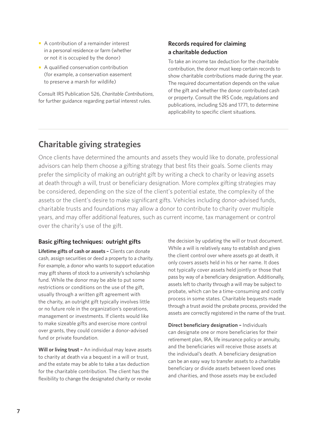- A contribution of a remainder interest in a personal residence or farm (whether or not it is occupied by the donor)
- A qualified conservation contribution (for example, a conservation easement to preserve a marsh for wildlife)

Consult IRS Publication 526, *Charitable Contributions*, for further guidance regarding partial interest rules.

# **Records required for claiming a charitable deduction**

To take an income tax deduction for the charitable contribution, the donor must keep certain records to show charitable contributions made during the year. The required documentation depends on the value of the gift and whether the donor contributed cash or property. Consult the IRS Code, regulations and publications, including 526 and 1771, to determine applicability to specific client situations.

# **Charitable giving strategies**

Once clients have determined the amounts and assets they would like to donate, professional advisors can help them choose a gifting strategy that best fits their goals. Some clients may prefer the simplicity of making an outright gift by writing a check to charity or leaving assets at death through a will, trust or beneficiary designation. More complex gifting strategies may be considered, depending on the size of the client's potential estate, the complexity of the assets or the client's desire to make significant gifts. Vehicles including donor-advised funds, charitable trusts and foundations may allow a donor to contribute to charity over multiple years, and may offer additional features, such as current income, tax management or control over the charity's use of the gift.

# **Basic gifting techniques: outright gifts**

**Lifetime gifts of cash or assets –** Clients can donate cash, assign securities or deed a property to a charity. For example, a donor who wants to support education may gift shares of stock to a university's scholarship fund. While the donor may be able to put some restrictions or conditions on the use of the gift, usually through a written gift agreement with the charity, an outright gift typically involves little or no future role in the organization's operations, management or investments. If clients would like to make sizeable gifts and exercise more control over grants, they could consider a donor-advised fund or private foundation.

**Will or living trust –** An individual may leave assets to charity at death via a bequest in a will or trust, and the estate may be able to take a tax deduction for the charitable contribution. The client has the flexibility to change the designated charity or revoke

the decision by updating the will or trust document. While a will is relatively easy to establish and gives the client control over where assets go at death, it only covers assets held in his or her name. It does not typically cover assets held jointly or those that pass by way of a beneficiary designation. Additionally, assets left to charity through a will may be subject to probate, which can be a time-consuming and costly process in some states. Charitable bequests made through a trust avoid the probate process, provided the assets are correctly registered in the name of the trust.

**Direct beneficiary designation –** Individuals can designate one or more beneficiaries for their retirement plan, IRA, life insurance policy or annuity, and the beneficiaries will receive those assets at the individual's death. A beneficiary designation can be an easy way to transfer assets to a charitable beneficiary or divide assets between loved ones and charities, and those assets may be excluded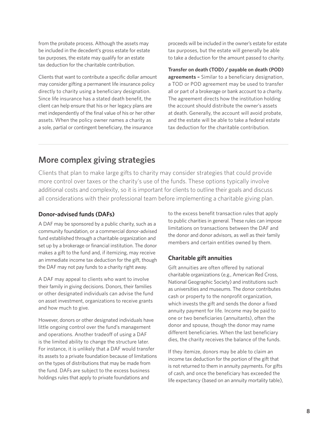from the probate process. Although the assets may be included in the decedent's gross estate for estate tax purposes, the estate may qualify for an estate tax deduction for the charitable contribution.

Clients that want to contribute a specific dollar amount may consider gifting a permanent life insurance policy directly to charity using a beneficiary designation. Since life insurance has a stated death benefit, the client can help ensure that his or her legacy plans are met independently of the final value of his or her other assets. When the policy owner names a charity as a sole, partial or contingent beneficiary, the insurance

proceeds will be included in the owner's estate for estate tax purposes, but the estate will generally be able to take a deduction for the amount passed to charity.

**Transfer on death (TOD) / payable on death (POD) agreements –** Similar to a beneficiary designation, a TOD or POD agreement may be used to transfer all or part of a brokerage or bank account to a charity. The agreement directs how the institution holding the account should distribute the owner's assets at death. Generally, the account will avoid probate, and the estate will be able to take a federal estate tax deduction for the charitable contribution.

# **More complex giving strategies**

Clients that plan to make large gifts to charity may consider strategies that could provide more control over taxes or the charity's use of the funds. These options typically involve additional costs and complexity, so it is important for clients to outline their goals and discuss all considerations with their professional team before implementing a charitable giving plan.

## **Donor-advised funds (DAFs)**

A DAF may be sponsored by a public charity, such as a community foundation, or a commercial donor-advised fund established through a charitable organization and set up by a brokerage or financial institution. The donor makes a gift to the fund and, if itemizing, may receive an immediate income tax deduction for the gift, though the DAF may not pay funds to a charity right away.

A DAF may appeal to clients who want to involve their family in giving decisions. Donors, their families or other designated individuals can advise the fund on asset investment, organizations to receive grants and how much to give.

However, donors or other designated individuals have little ongoing control over the fund's management and operations. Another tradeoff of using a DAF is the limited ability to change the structure later. For instance, it is unlikely that a DAF would transfer its assets to a private foundation because of limitations on the types of distributions that may be made from the fund. DAFs are subject to the excess business holdings rules that apply to private foundations and

to the excess benefit transaction rules that apply to public charities in general. These rules can impose limitations on transactions between the DAF and the donor and donor advisors, as well as their family members and certain entities owned by them.

# **Charitable gift annuities**

Gift annuities are often offered by national charitable organizations (e.g., American Red Cross, National Geographic Society) and institutions such as universities and museums. The donor contributes cash or property to the nonprofit organization, which invests the gift and sends the donor a fixed annuity payment for life. Income may be paid to one or two beneficiaries (annuitants), often the donor and spouse, though the donor may name different beneficiaries. When the last beneficiary dies, the charity receives the balance of the funds.

If they itemize, donors may be able to claim an income tax deduction for the portion of the gift that is not returned to them in annuity payments. For gifts of cash, and once the beneficiary has exceeded the life expectancy (based on an annuity mortality table),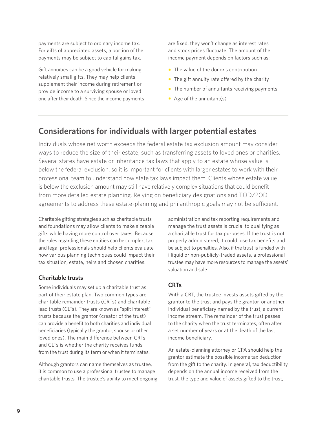payments are subject to ordinary income tax. For gifts of appreciated assets, a portion of the payments may be subject to capital gains tax.

Gift annuities can be a good vehicle for making relatively small gifts. They may help clients supplement their income during retirement or provide income to a surviving spouse or loved one after their death. Since the income payments are fixed, they won't change as interest rates and stock prices fluctuate. The amount of the income payment depends on factors such as:

- The value of the donor's contribution
- The gift annuity rate offered by the charity
- The number of annuitants receiving payments
- Age of the annuitant(s)

# **Considerations for individuals with larger potential estates**

Individuals whose net worth exceeds the federal estate tax exclusion amount may consider ways to reduce the size of their estate, such as transferring assets to loved ones or charities. Several states have estate or inheritance tax laws that apply to an estate whose value is below the federal exclusion, so it is important for clients with larger estates to work with their professional team to understand how state tax laws impact them. Clients whose estate value is below the exclusion amount may still have relatively complex situations that could benefit from more detailed estate planning. Relying on beneficiary designations and TOD/POD agreements to address these estate-planning and philanthropic goals may not be sufficient.

Charitable gifting strategies such as charitable trusts and foundations may allow clients to make sizeable gifts while having more control over taxes. Because the rules regarding these entities can be complex, tax and legal professionals should help clients evaluate how various planning techniques could impact their tax situation, estate, heirs and chosen charities.

#### **Charitable trusts**

Some individuals may set up a charitable trust as part of their estate plan. Two common types are charitable remainder trusts (CRTs) and charitable lead trusts (CLTs). They are known as "split interest" trusts because the grantor (creator of the trust) can provide a benefit to both charities and individual beneficiaries (typically the grantor, spouse or other loved ones). The main difference between CRTs and CLTs is whether the charity receives funds from the trust during its term or when it terminates.

Although grantors can name themselves as trustee, it is common to use a professional trustee to manage charitable trusts. The trustee's ability to meet ongoing administration and tax reporting requirements and manage the trust assets is crucial to qualifying as a charitable trust for tax purposes. If the trust is not properly administered, it could lose tax benefits and be subject to penalties. Also, if the trust is funded with illiquid or non-publicly-traded assets, a professional trustee may have more resources to manage the assets' valuation and sale.

# **CRTs**

With a CRT, the trustee invests assets gifted by the grantor to the trust and pays the grantor, or another individual beneficiary named by the trust, a current income stream. The remainder of the trust passes to the charity when the trust terminates, often after a set number of years or at the death of the last income beneficiary.

An estate-planning attorney or CPA should help the grantor estimate the possible income tax deduction from the gift to the charity. In general, tax deductibility depends on the annual income received from the trust, the type and value of assets gifted to the trust,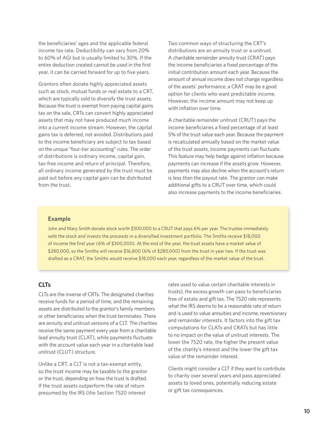the beneficiaries' ages and the applicable federal income tax rate. Deductibility can vary from 20% to 60% of AGI but is usually limited to 30%. If the entire deduction created cannot be used in the first year, it can be carried forward for up to five years.

Grantors often donate highly appreciated assets such as stock, mutual funds or real estate to a CRT, which are typically sold to diversify the trust assets. Because the trust is exempt from paying capital gains tax on the sale, CRTs can convert highly appreciated assets that may not have produced much income into a current income stream. However, the capital gains tax is deferred, not avoided. Distributions paid to the income beneficiary are subject to tax based on the unique "four-tier accounting" rules. The order of distributions is ordinary income, capital gain, tax-free income and return of principal. Therefore, all ordinary income generated by the trust must be paid out before any capital gain can be distributed from the trust.

Two common ways of structuring the CRT's distributions are an annuity trust or a unitrust. A charitable remainder annuity trust (CRAT) pays the income beneficiaries a fixed percentage of the initial contribution amount each year. Because the amount of annual income does not change regardless of the assets' performance, a CRAT may be a good option for clients who want predictable income. However, the income amount may not keep up with inflation over time.

A charitable remainder unitrust (CRUT) pays the income beneficiaries a fixed percentage of at least 5% of the trust value each year. Because the payment is recalculated annually based on the market value of the trust assets, income payments can fluctuate. This feature may help hedge against inflation because payments can increase if the assets grow. However, payments may also decline when the account's return is less than the payout rate. The grantor can make additional gifts to a CRUT over time, which could also increase payments to the income beneficiaries.

#### **Example**

John and Mary Smith donate stock worth \$300,000 to a CRUT that pays 6% per year. The trustee immediately sells the stock and invests the proceeds in a diversified investment portfolio. The Smiths receive \$18,000 of income the first year (6% of \$300,000). At the end of the year, the trust assets have a market value of \$280,000, so the Smiths will receive \$16,800 (6% of \$280,000) from the trust in year two. If the trust was drafted as a CRAT, the Smiths would receive \$18,000 each year, regardless of the market value of the trust.

### **CLTs**

CLTs are the inverse of CRTs. The designated charities receive funds for a period of time, and the remaining assets are distributed to the grantor's family members or other beneficiaries when the trust terminates. There are annuity and unitrust versions of a CLT. The charities receive the same payment every year from a charitable lead annuity trust (CLAT), while payments fluctuate with the account value each year in a charitable lead unitrust (CLUT) structure.

Unlike a CRT, a CLT is not a tax-exempt entity, so the trust income may be taxable to the grantor or the trust, depending on how the trust is drafted. If the trust assets outperform the rate of return presumed by the IRS (the Section 7520 interest

rates used to value certain charitable interests in trusts), the excess growth can pass to beneficiaries free of estate and gift tax. The 7520 rate represents what the IRS deems to be a reasonable rate of return and is used to value annuities and income, reversionary and remainder interests. It factors into the gift tax computations for CLATs and CRATs but has little to no impact on the value of unitrust interests. The lower the 7520 rate, the higher the present value of the charity's interest and the lower the gift tax value of the remainder interest.

Clients might consider a CLT if they want to contribute to charity over several years and pass appreciated assets to loved ones, potentially reducing estate or gift tax consequences.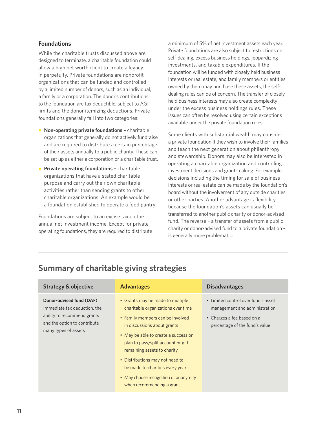## **Foundations**

While the charitable trusts discussed above are designed to terminate, a charitable foundation could allow a high net worth client to create a legacy in perpetuity. Private foundations are nonprofit organizations that can be funded and controlled by a limited number of donors, such as an individual, a family or a corporation. The donor's contributions to the foundation are tax deductible, subject to AGI limits and the donor itemizing deductions. Private foundations generally fall into two categories:

- **Non-operating private foundations –** charitable organizations that generally do not actively fundraise and are required to distribute a certain percentage of their assets annually to a public charity. These can be set up as either a corporation or a charitable trust.
- **Private operating foundations charitable** organizations that have a stated charitable purpose and carry out their own charitable activities rather than sending grants to other charitable organizations. An example would be a foundation established to operate a food pantry.

Foundations are subject to an excise tax on the annual net investment income. Except for private operating foundations, they are required to distribute a minimum of 5% of net investment assets each year. Private foundations are also subject to restrictions on self-dealing, excess business holdings, jeopardizing investments, and taxable expenditures. If the foundation will be funded with closely held business interests or real estate, and family members or entities owned by them may purchase these assets, the selfdealing rules can be of concern. The transfer of closely held business interests may also create complexity under the excess business holdings rules. These issues can often be resolved using certain exceptions available under the private foundation rules.

Some clients with substantial wealth may consider a private foundation if they wish to involve their families and teach the next generation about philanthropy and stewardship. Donors may also be interested in operating a charitable organization and controlling investment decisions and grant-making. For example, decisions including the timing for sale of business interests or real estate can be made by the foundation's board without the involvement of any outside charities or other parties. Another advantage is flexibility, because the foundation's assets can usually be transferred to another public charity or donor-advised fund. The reverse – a transfer of assets from a public charity or donor-advised fund to a private foundation – is generally more problematic.

| <b>Strategy &amp; objective</b>                                                                                                                 | <b>Advantages</b>                                                                                                                                                                                                                                                                                                                                                     | <b>Disadvantages</b>                                                                                                                 |
|-------------------------------------------------------------------------------------------------------------------------------------------------|-----------------------------------------------------------------------------------------------------------------------------------------------------------------------------------------------------------------------------------------------------------------------------------------------------------------------------------------------------------------------|--------------------------------------------------------------------------------------------------------------------------------------|
| Donor-advised fund (DAF)<br>Immediate tax deduction, the<br>ability to recommend grants<br>and the option to contribute<br>many types of assets | • Grants may be made to multiple<br>charitable organizations over time<br>• Family members can be involved<br>in discussions about grants<br>• May be able to create a succession<br>plan to pass/split account or gift<br>remaining assets to charity<br>• Distributions may not need to<br>be made to charities every year<br>• May choose recognition or anonymity | • Limited control over fund's asset<br>management and administration<br>• Charges a fee based on a<br>percentage of the fund's value |
|                                                                                                                                                 | when recommending a grant                                                                                                                                                                                                                                                                                                                                             |                                                                                                                                      |

# **Summary of charitable giving strategies**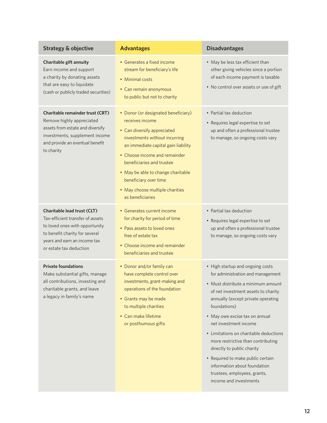| <b>Strategy &amp; objective</b>                                                                                                                                                                       | <b>Advantages</b>                                                                                                                                                                                                                                                                                                                                 | <b>Disadvantages</b>                                                                                                                                                                                                                                                                                                                                                                                                                                                                                             |
|-------------------------------------------------------------------------------------------------------------------------------------------------------------------------------------------------------|---------------------------------------------------------------------------------------------------------------------------------------------------------------------------------------------------------------------------------------------------------------------------------------------------------------------------------------------------|------------------------------------------------------------------------------------------------------------------------------------------------------------------------------------------------------------------------------------------------------------------------------------------------------------------------------------------------------------------------------------------------------------------------------------------------------------------------------------------------------------------|
| Charitable gift annuity<br>Earn income and support<br>a charity by donating assets<br>that are easy to liquidate<br>(cash or publicly traded securities)                                              | • Generates a fixed income<br>stream for beneficiary's life<br>• Minimal costs<br>• Can remain anonymous<br>to public but not to charity                                                                                                                                                                                                          | • May be less tax efficient than<br>other giving vehicles since a portion<br>of each income payment is taxable<br>• No control over assets or use of gift                                                                                                                                                                                                                                                                                                                                                        |
| Charitable remainder trust (CRT)<br>Remove highly appreciated<br>assets from estate and diversify<br>investments, supplement income<br>and provide an eventual benefit<br>to charity                  | • Donor (or designated beneficiary)<br>receives income<br>• Can diversify appreciated<br>investments without incurring<br>an immediate capital gain liability<br>• Choose income and remainder<br>beneficiaries and trustee<br>• May be able to change charitable<br>beneficiary over time<br>• May choose multiple charities<br>as beneficiaries | • Partial tax deduction<br>• Requires legal expertise to set<br>up and often a professional trustee<br>to manage, so ongoing costs vary                                                                                                                                                                                                                                                                                                                                                                          |
| <b>Charitable lead trust (CLT)</b><br>Tax-efficient transfer of assets<br>to loved ones with opportunity<br>to benefit charity for several<br>years and earn an income tax<br>or estate tax deduction | • Generates current income<br>for charity for period of time<br>• Pass assets to loved ones<br>free of estate tax<br>• Choose income and remainder<br>beneficiaries and trustee                                                                                                                                                                   | • Partial tax deduction<br>• Requires legal expertise to set<br>up and often a professional trustee<br>to manage, so ongoing costs vary                                                                                                                                                                                                                                                                                                                                                                          |
| <b>Private foundations</b><br>Make substantial gifts, manage<br>all contributions, investing and<br>charitable grants, and leave<br>a legacy in family's name                                         | • Donor and/or family can<br>have complete control over<br>investments, grant-making and<br>operations of the foundation<br>• Grants may be made<br>to multiple charities<br>• Can make lifetime<br>or posthumous gifts                                                                                                                           | • High startup and ongoing costs<br>for administration and management<br>• Must distribute a minimum amount<br>of net investment assets to charity<br>annually (except private operating<br>foundations)<br>• May owe excise tax on annual<br>net investment income<br>• Limitations on charitable deductions<br>more restrictive than contributing<br>directly to public charity<br>• Required to make public certain<br>information about foundation<br>trustees, employees, grants,<br>income and investments |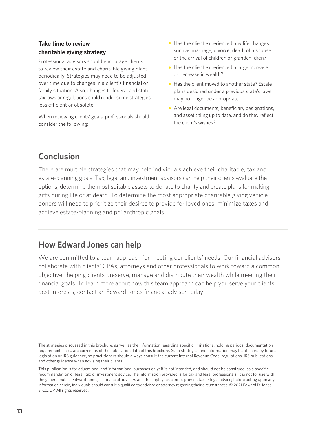# **Take time to review charitable giving strategy**

Professional advisors should encourage clients to review their estate and charitable giving plans periodically. Strategies may need to be adjusted over time due to changes in a client's financial or family situation. Also, changes to federal and state tax laws or regulations could render some strategies less efficient or obsolete.

When reviewing clients' goals, professionals should consider the following:

- Has the client experienced any life changes, such as marriage, divorce, death of a spouse or the arrival of children or grandchildren?
- Has the client experienced a large increase or decrease in wealth?
- Has the client moved to another state? Estate plans designed under a previous state's laws may no longer be appropriate.
- Are legal documents, beneficiary designations, and asset titling up to date, and do they reflect the client's wishes?

# **Conclusion**

There are multiple strategies that may help individuals achieve their charitable, tax and estate-planning goals. Tax, legal and investment advisors can help their clients evaluate the options, determine the most suitable assets to donate to charity and create plans for making gifts during life or at death. To determine the most appropriate charitable giving vehicle, donors will need to prioritize their desires to provide for loved ones, minimize taxes and achieve estate-planning and philanthropic goals.

# **How Edward Jones can help**

We are committed to a team approach for meeting our clients' needs. Our financial advisors collaborate with clients' CPAs, attorneys and other professionals to work toward a common objective: helping clients preserve, manage and distribute their wealth while meeting their financial goals. To learn more about how this team approach can help you serve your clients' best interests, contact an Edward Jones financial advisor today.

The strategies discussed in this brochure, as well as the information regarding specific limitations, holding periods, documentation requirements, etc., are current as of the publication date of this brochure. Such strategies and information may be affected by future legislation or IRS guidance, so practitioners should always consult the current Internal Revenue Code, regulations, IRS publications and other guidance when advising their clients.

This publication is for educational and informational purposes only; it is not intended, and should not be construed, as a specific recommendation or legal, tax or investment advice. The information provided is for tax and legal professionals; it is not for use with the general public. Edward Jones, its financial advisors and its employees cannot provide tax or legal advice; before acting upon any information herein, individuals should consult a qualified tax advisor or attorney regarding their circumstances. © 2021 Edward D. Jones & Co., L.P. All rights reserved.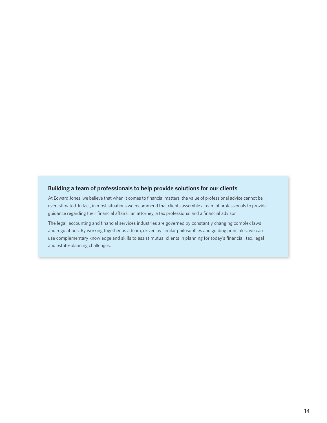## **Building a team of professionals to help provide solutions for our clients**

At Edward Jones, we believe that when it comes to financial matters, the value of professional advice cannot be overestimated. In fact, in most situations we recommend that clients assemble a team of professionals to provide guidance regarding their financial affairs: an attorney, a tax professional and a financial advisor.

The legal, accounting and financial services industries are governed by constantly changing complex laws and regulations. By working together as a team, driven by similar philosophies and guiding principles, we can use complementary knowledge and skills to assist mutual clients in planning for today's financial, tax, legal and estate-planning challenges.